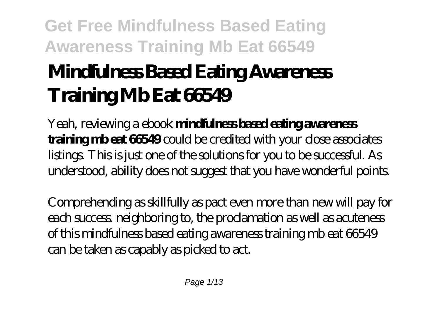# **Mindfulness Based Eating Awareness Training Mb Eat 66549**

Yeah, reviewing a ebook **mindfulness based eating awareness training mb eat 66549** could be credited with your close associates listings. This is just one of the solutions for you to be successful. As understood, ability does not suggest that you have wonderful points.

Comprehending as skillfully as pact even more than new will pay for each success. neighboring to, the proclamation as well as acuteness of this mindfulness based eating awareness training mb eat 66549 can be taken as capably as picked to act.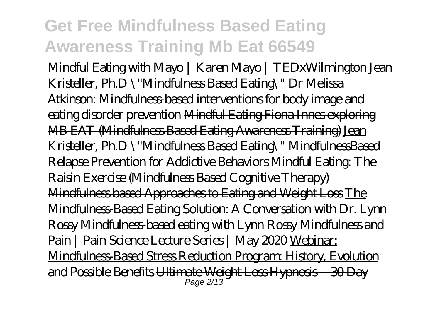Mindful Eating with Mayo | Karen Mayo | TEDxWilmington *Jean Kristeller, Ph.D \"Mindfulness Based Eating\" Dr Melissa Atkinson: Mindfulness-based interventions for body image and eating disorder prevention* Mindful Eating Fiona Innes exploring MB EAT (Mindfulness Based Eating Awareness Training) Jean Kristeller, Ph.D \"Mindfulness Based Eating\" MindfulnessBased Relapse Prevention for Addictive Behaviors Mindful Eating: The Raisin Exercise (Mindfulness Based Cognitive Therapy) Mindfulness based Approaches to Eating and Weight Loss The Mindfulness-Based Eating Solution: A Conversation with Dr. Lynn Rossy *Mindfulness-based eating with Lynn Rossy* Mindfulness and Pain | Pain Science Lecture Series | May 2020 Webinar: Mindfulness-Based Stress Reduction Program: History, Evolution and Possible Benefits Ultimate Weight Loss Hypnosis -- 30 Day Page 2/13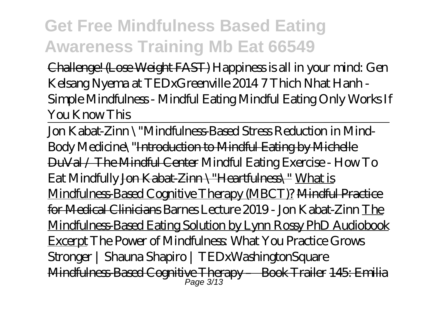Challenge! (Lose Weight FAST) *Happiness is all in your mind: Gen Kelsang Nyema at TEDxGreenville 2014 7 Thich Nhat Hanh - Simple Mindfulness - Mindful Eating Mindful Eating Only Works If You Know This*

Jon Kabat-Zinn \"Mindfulness-Based Stress Reduction in Mind-Body Medicine\"Introduction to Mindful Eating by Michelle DuVal / The Mindful Center Mindful Eating Exercise - How To Eat Mindfully Jon Kabat-Zinn \"Heartfulness\" What is Mindfulness-Based Cognitive Therapy (MBCT)? Mindful Practice for Medical Clinicians *Barnes Lecture 2019 - Jon Kabat-Zinn* The Mindfulness-Based Eating Solution by Lynn Rossy PhD Audiobook Excerpt The Power of Mindfulness: What You Practice Grows Stronger | Shauna Shapiro | TEDxWashingtonSquare Mindfulness-Based Cognitive Therapy – Book Trailer 145: Emilia Page 3/13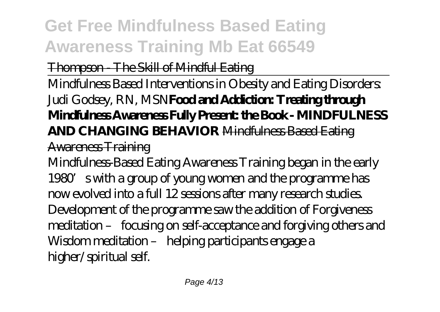#### Thompson - The Skill of Mindful Eating

Mindfulness Based Interventions in Obesity and Eating Disorders: Judi Godsey, RN, MSN**Food and Addiction: Treating through Mindfulness Awareness Fully Present: the Book - MINDFULNESS AND CHANGING BEHAVIOR** Mindfulness Based Eating

#### Awareness Training

Mindfulness-Based Eating Awareness Training began in the early 1980's with a group of young women and the programme has now evolved into a full 12 sessions after many research studies. Development of the programme saw the addition of Forgiveness meditation – focusing on self-acceptance and forgiving others and Wisdom meditation – helping participants engage a higher/spiritual self.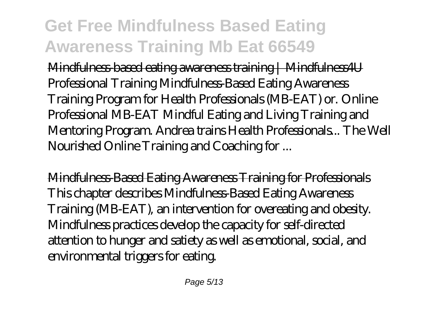Mindfulness-based eating awareness training | Mindfulness4U Professional Training Mindfulness-Based Eating Awareness Training Program for Health Professionals (MB-EAT) or. Online Professional MB-EAT Mindful Eating and Living Training and Mentoring Program. Andrea trains Health Professionals... The Well Nourished Online Training and Coaching for ...

Mindfulness-Based Eating Awareness Training for Professionals This chapter describes Mindfulness-Based Eating Awareness Training (MB-EAT), an intervention for overeating and obesity. Mindfulness practices develop the capacity for self-directed attention to hunger and satiety as well as emotional, social, and environmental triggers for eating.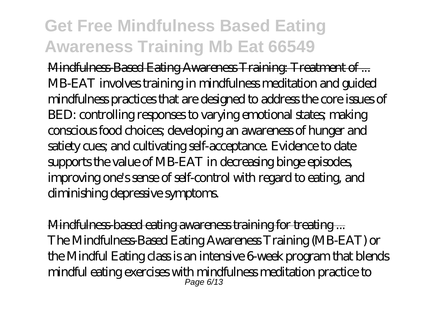Mindfulness-Based Eating Awareness Training: Treatment of ... MB-EAT involves training in mindfulness meditation and guided mindfulness practices that are designed to address the core issues of BED: controlling responses to varying emotional states; making conscious food choices; developing an awareness of hunger and satiety cues; and cultivating self-acceptance. Evidence to date supports the value of MB-EAT in decreasing binge episodes, improving one's sense of self-control with regard to eating, and diminishing depressive symptoms.

Mindfulness-based eating awareness training for treating ... The Mindfulness-Based Eating Awareness Training (MB-EAT) or the Mindful Eating class is an intensive 6-week program that blends mindful eating exercises with mindfulness meditation practice to Page 6/13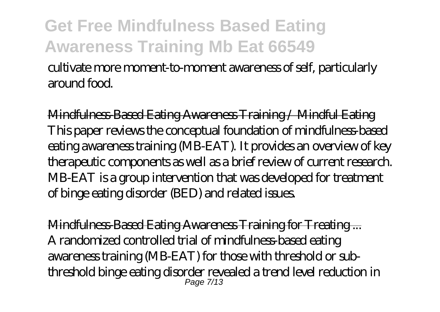cultivate more moment-to-moment awareness of self, particularly around food.

Mindfulness-Based Eating Awareness Training / Mindful Eating This paper reviews the conceptual foundation of mindfulness-based eating awareness training (MB-EAT). It provides an overview of key therapeutic components as well as a brief review of current research. MB-EAT is a group intervention that was developed for treatment of binge eating disorder (BED) and related issues.

Mindfulness-Based Eating Awareness Training for Treating ... A randomized controlled trial of mindfulness-based eating awareness training (MB-EAT) for those with threshold or subthreshold binge eating disorder revealed a trend level reduction in Page 7/13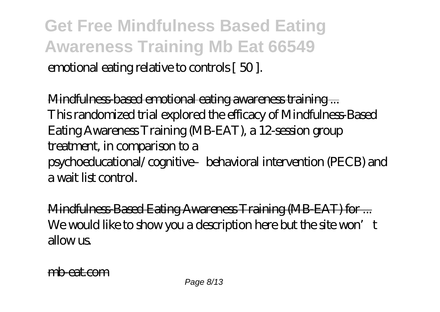**Get Free Mindfulness Based Eating Awareness Training Mb Eat 66549** emotional eating relative to controls [ 50 ].

Mindfulness-based emotional eating awareness training ... This randomized trial explored the efficacy of Mindfulness-Based Eating Awareness Training (MB-EAT), a 12-session group treatment, in comparison to a psychoeducational/cognitive–behavioral intervention (PECB) and a wait list control.

Mindfulness-Based Eating Awareness Training (MB-EAT) for ... We would like to show you a description here but the site won't allow<sub>is</sub>

mbeat.com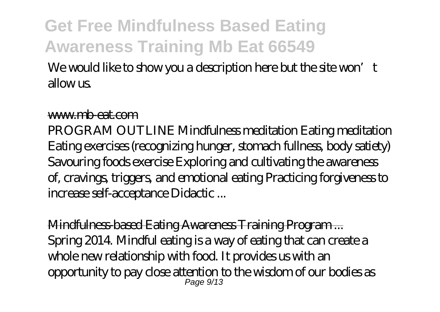#### We would like to show you a description here but the site won't allow<sub>us</sub>

#### www.mb-eat.com

PROGRAM OUTLINE Mindfulness meditation Eating meditation Eating exercises (recognizing hunger, stomach fullness, body satiety) Savouring foods exercise Exploring and cultivating the awareness of, cravings, triggers, and emotional eating Practicing forgiveness to increase self-acceptance Didactic ...

Mindfulness-based Eating Awareness Training Program ... Spring 2014. Mindful eating is a way of eating that can create a whole new relationship with food. It provides us with an opportunity to pay close attention to the wisdom of our bodies as Page 9/13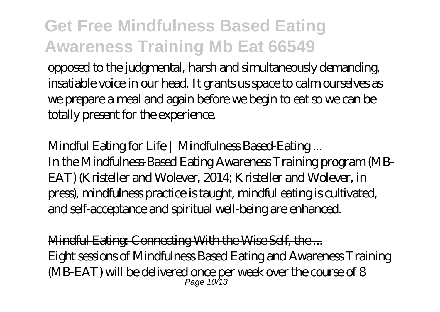opposed to the judgmental, harsh and simultaneously demanding, insatiable voice in our head. It grants us space to calm ourselves as we prepare a meal and again before we begin to eat so we can be totally present for the experience.

Mindful Eating for Life | Mindfulness Based Eating... In the Mindfulness-Based Eating Awareness Training program (MB-EAT) (Kristeller and Wolever, 2014; Kristeller and Wolever, in press), mindfulness practice is taught, mindful eating is cultivated, and self-acceptance and spiritual well-being are enhanced.

Mindful Eating: Connecting With the Wise Self, the ... Eight sessions of Mindfulness Based Eating and Awareness Training (MB-EAT) will be delivered once per week over the course of 8 Page 10/13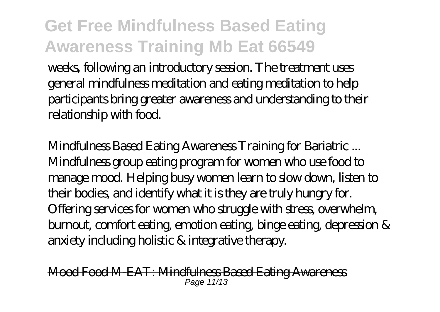weeks, following an introductory session. The treatment uses general mindfulness meditation and eating meditation to help participants bring greater awareness and understanding to their relationship with food.

Mindfulness Based Eating Awareness Training for Bariatric ... Mindfulness group eating program for women who use food to manage mood. Helping busy women learn to slow down, listen to their bodies, and identify what it is they are truly hungry for. Offering services for women who struggle with stress, overwhelm, burnout, comfort eating, emotion eating, binge eating, depression & anxiety including holistic & integrative therapy.

Mood Food M-EAT: Mindfulness Based Eating Awareness Page 11/13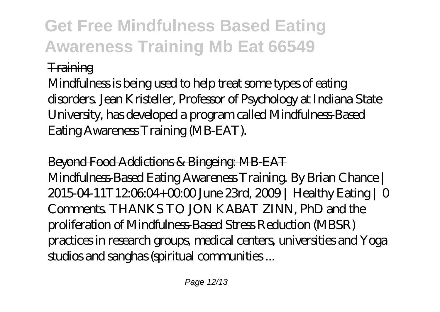#### **Training**

Mindfulness is being used to help treat some types of eating disorders. Jean Kristeller, Professor of Psychology at Indiana State University, has developed a program called Mindfulness-Based Eating Awareness Training (MB-EAT).

Beyond Food Addictions & Bingeing: MB-EAT Mindfulness-Based Eating Awareness Training. By Brian Chance | 2015-04-11T12:06:04+00:00 June 23rd, 2009 | Healthy Eating | 0 Comments. THANKS TO JON KABAT ZINN, PhD and the proliferation of Mindfulness-Based Stress Reduction (MBSR) practices in research groups, medical centers, universities and Yoga studios and sanghas (spiritual communities ...